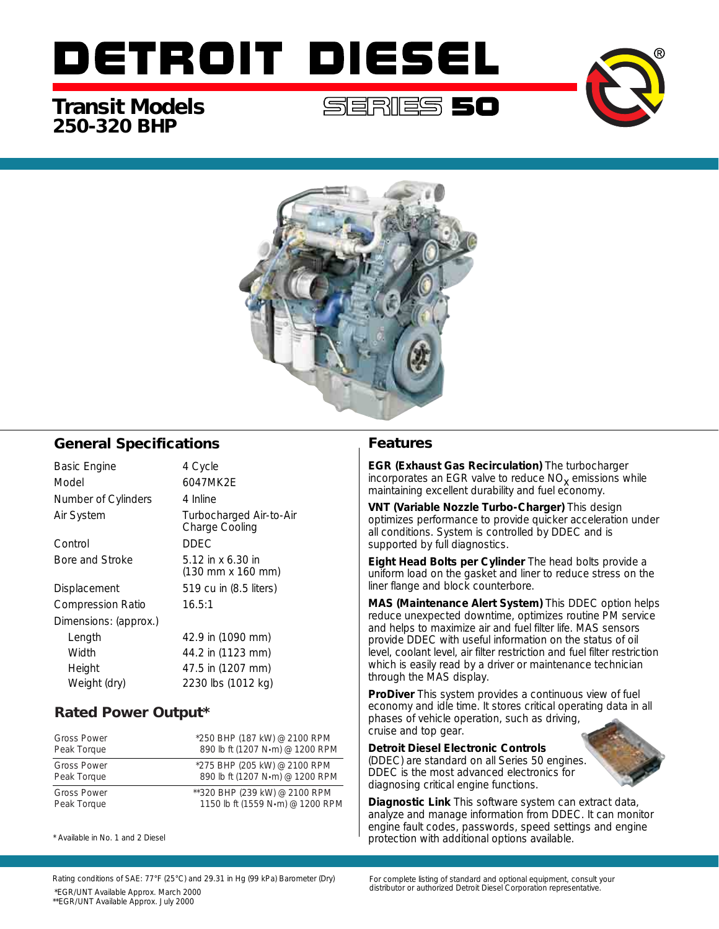# DETROIT DIESEL

## **250-320 BHP Transit Models**



### **General Specifications**

| Basic Engine             | 4 Cycle                                                                  |
|--------------------------|--------------------------------------------------------------------------|
| Model                    | 6047MK2F                                                                 |
| Number of Cylinders      | 4 Inline                                                                 |
| Air System               | Turbocharged Air-to-Air<br>Charge Cooling                                |
| Control                  | DDEC.                                                                    |
| Bore and Stroke          | 5.12 in $\times$ 6.30 in<br>$(130 \, \text{mm} \times 160 \, \text{mm})$ |
| Displacement             | 519 cu in (8.5 liters)                                                   |
| <b>Compression Ratio</b> | 16.5:1                                                                   |
| Dimensions: (approx.)    |                                                                          |
| Length                   | 42.9 in (1090 mm)                                                        |
| Width                    | 44.2 in (1123 mm)                                                        |
| Height                   | 47.5 in (1207 mm)                                                        |
| Weight (dry)             | 2230 lbs (1012 kg)                                                       |

## **Rated Power Output\***

| <b>Gross Power</b> | *250 BHP (187 kW) @ 2100 RPM     |
|--------------------|----------------------------------|
| Peak Torque        | 890 lb ft (1207 N·m) @ 1200 RPM  |
| <b>Gross Power</b> | *275 BHP (205 kW) @ 2100 RPM     |
| Peak Torque        | 890 lb ft (1207 N·m) @ 1200 RPM  |
| <b>Gross Power</b> | **320 BHP (239 kW) @ 2100 RPM    |
| Peak Torque        | 1150 lb ft (1559 N·m) @ 1200 RPM |

\* Available in No. 1 and 2 Diesel

#### **Features**

**EGR (Exhaust Gas Recirculation)** The turbocharger incorporates an EGR valve to reduce  $NO<sub>x</sub>$  emissions while maintaining excellent durability and fuel economy.

**VNT (Variable Nozzle Turbo-Charger)** This design optimizes performance to provide quicker acceleration under all conditions. System is controlled by DDEC and is supported by full diagnostics.

**Eight Head Bolts per Cylinder** The head bolts provide a uniform load on the gasket and liner to reduce stress on the liner flange and block counterbore.

**MAS (Maintenance Alert System)** This DDEC option helps reduce unexpected downtime, optimizes routine PM service and helps to maximize air and fuel filter life. MAS sensors provide DDEC with useful information on the status of oil level, coolant level, air filter restriction and fuel filter restriction which is easily read by a driver or maintenance technician through the MAS display.

**ProDiver** This system provides a continuous view of fuel economy and idle time. It stores critical operating data in all phases of vehicle operation, such as driving, cruise and top gear.

**Detroit Diesel Electronic Controls**

(DDEC) are standard on all Series 50 engines. DDEC is the most advanced electronics for diagnosing critical engine functions.

**Diagnostic Link** This software system can extract data, analyze and manage information from DDEC. It can monitor engine fault codes, passwords, speed settings and engine protection with additional options available.

Rating conditions of SAE: 77°F (25°C) and 29.31 in Hg (99 kPa) Barometer (Dry) distributor or authorized Detroit Diesel Corporation representative. \*EGR/UNT Available Approx. March 2000 \*\*EGR/UNT Available Approx. July 2000

For complete listing of standard and optional equipment, consult your